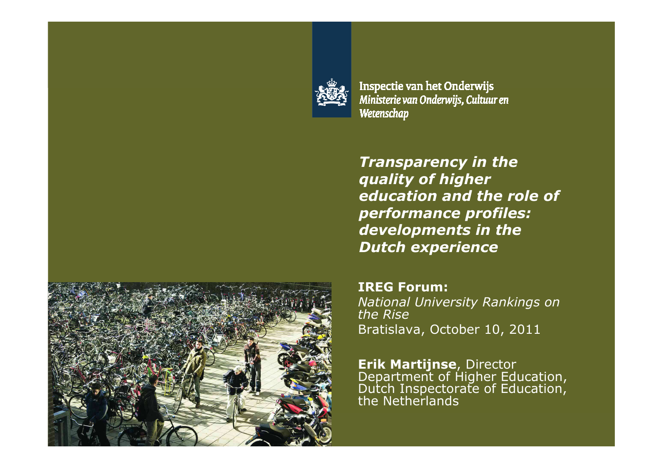

Inspectie van het Onderwijs Ministerie van Onderwijs, Cultuur en Wetenschap

*Transparency in the quality of higher education and the role of performance profiles: developments in the Dutch experience*

**IREG Forum:** *National University Rankings on the Rise*Bratislava, October 10, 2011

**Erik Martijnse**, Director<br>Department of Higher Education,<br>Dutch Inspectorate of Education,<br>the Netherlands

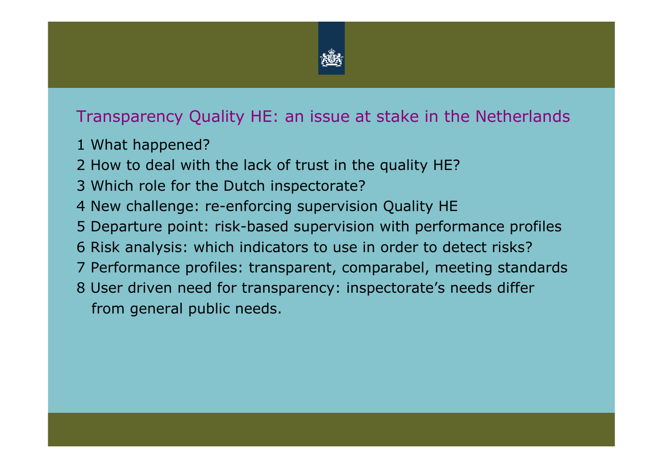

#### Transparency Quality HE: an issue at stake in the Netherlands

- 1 What happened?
- 2 How to deal with the lack of trust in the quality HE?
- 3 Which role for the Dutch inspectorate?
- 4 New challenge: re-enforcing supervision Quality HE
- 5 Departure point: risk-based supervision with performance profiles
- 6 Risk analysis: which indicators to use in order to detect risks?
- 7 Performance profiles: transparent, comparabel, meeting standards
- 8 User driven need for transparency: inspectorate's needs differfrom general public needs.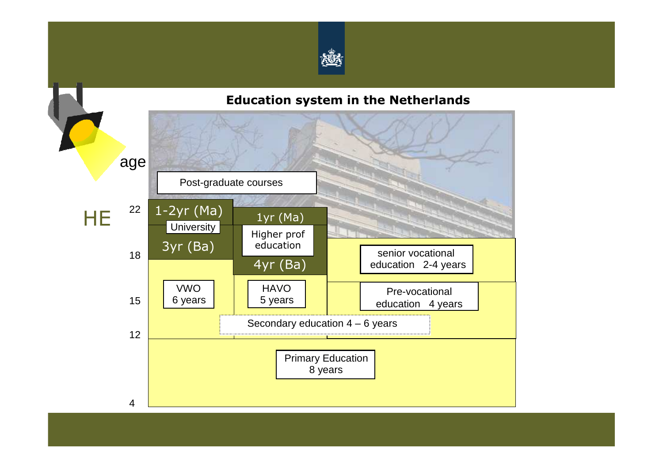

#### **Education system in the Netherlands**

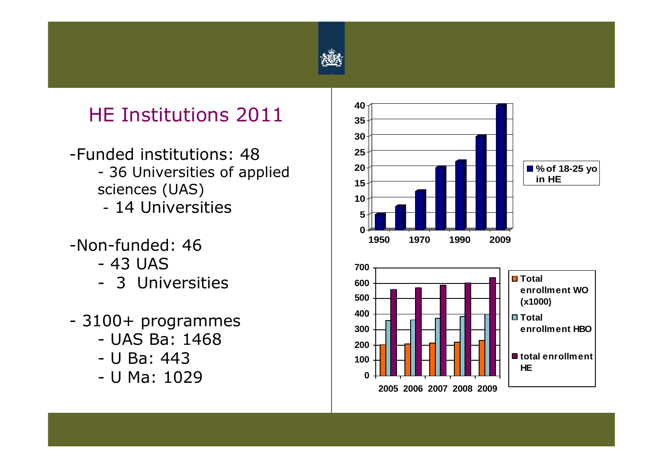

## HE Institutions 2011

- -Funded institutions: 48- 36 Universities of applied<br>sciences (114S) sciences (UAS)14 Universities
- -Non-funded: 46
	- 43 UAS<br>- 3 IIniv
	- 3 Universities
- 3100+ programmes
	- UAS Ba: 1468<br>- II Ba: 443
	- U Ba: 443<br>- II Ma: 102
	- U Ma: 1029 **<sup>0</sup>**

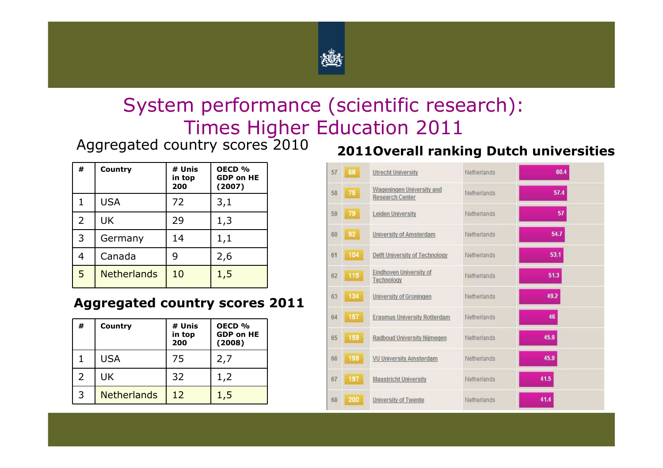

## System performance (scientific research): Times Higher Education 2011

Aggregated country scores 2010

| #              | Country            | # Unis<br>in top<br>200 | OECD %<br><b>GDP on HE</b><br>(2007) |
|----------------|--------------------|-------------------------|--------------------------------------|
| 1.             | <b>USA</b>         | 72                      | 3,1                                  |
| $\overline{2}$ | UK                 | 29                      | 1,3                                  |
| 3              | Germany            | 14                      | 1,1                                  |
| 4              | Canada             | 9                       | 2,6                                  |
| 5              | <b>Netherlands</b> | 10                      | 1,5                                  |

#### **Aggregated country scores 2011**

| #             | Country            | # Unis<br>in top<br>200 | OECD <sub>%</sub><br><b>GDP on HE</b><br>(2008) |
|---------------|--------------------|-------------------------|-------------------------------------------------|
|               | <b>USA</b>         | 75                      | 2,7                                             |
| $\mathcal{L}$ | UK                 | 32                      | 1,2                                             |
| 3             | <b>Netherlands</b> | 12                      | 1,5                                             |

#### **2011Overall ranking Dutch universities**

| 57 | 68  | <b>Utrecht University</b>                    | Netherlands | 60.4 |
|----|-----|----------------------------------------------|-------------|------|
| 58 | 75  | Wageningen University and<br>Research Center | Netherlands | 57.4 |
| 59 | 79  | Leiden University                            | Netherlands | 57   |
| 60 | 92  | University of Amsterdam                      | Netherlands | 54.7 |
| 61 | 104 | Delft University of Technology               | Netherlands | 53.1 |
| 62 | 115 | Eindhoven University of<br>Technology        | Netherlands | 51.3 |
| 63 | 134 | University of Groningen                      | Netherlands | 49.2 |
| 64 | 157 | Erasmus University Rotterdam                 | Netherlands | 46   |
| 65 | 159 | Radboud University Nijmegen                  | Netherlands | 45.9 |
| 66 | 159 | VU University Amsterdam                      | Netherlands | 45.9 |
| 67 | 197 | <b>Maastricht University</b>                 | Netherlands | 41.5 |
| 68 | 200 | University of Twente                         | Netherlands | 41.4 |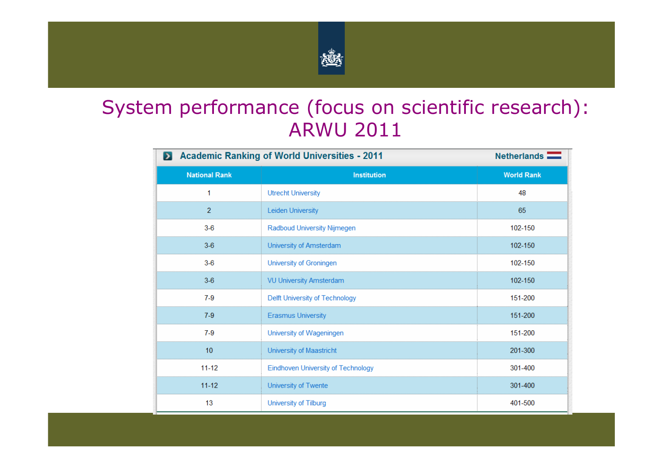

## System performance (focus on scientific research): ARWU 2011

| <b>Academic Ranking of World Universities - 2011</b><br>$\blacktriangleright$ | Netherlands <b>Netherlands</b>     |                   |
|-------------------------------------------------------------------------------|------------------------------------|-------------------|
| <b>National Rank</b>                                                          | <b>Institution</b>                 | <b>World Rank</b> |
| 1                                                                             | <b>Utrecht University</b>          | 48                |
| $\overline{2}$                                                                | Leiden University                  | 65                |
| $3-6$                                                                         | Radboud University Nijmegen        | 102-150           |
| $3-6$                                                                         | University of Amsterdam            | 102-150           |
| $3-6$                                                                         | University of Groningen            | 102-150           |
| $3-6$                                                                         | <b>VU University Amsterdam</b>     | 102-150           |
| $7-9$                                                                         | Delft University of Technology     | 151-200           |
| $7-9$                                                                         | <b>Erasmus University</b>          | 151-200           |
| $7-9$                                                                         | University of Wageningen           | 151-200           |
| 10                                                                            | University of Maastricht           | 201-300           |
| $11 - 12$                                                                     | Eindhoven University of Technology | 301-400           |
| $11 - 12$                                                                     | University of Twente               | 301-400           |
| 13                                                                            | University of Tilburg              | 401-500           |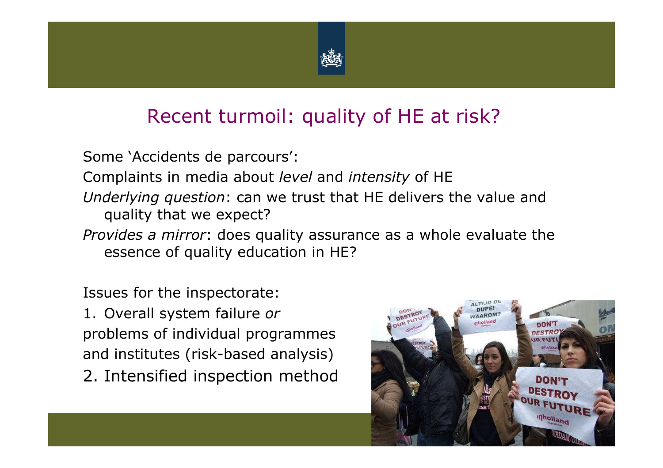

## Recent turmoil: quality of HE at risk?

Some 'Accidents de parcours':

Complaints in media about *level* and *intensity* of HE

- *Underlying question*: can we trust that HE delivers the value and quality that we expect?
- *Provides a mirror*: does quality assurance as a whole evaluate the essence of quality education in HE?

Issues for the inspectorate:

1. Overall system failure *or* problems of individual programmes and institutes (risk-based analysis)

2. Intensified inspection method

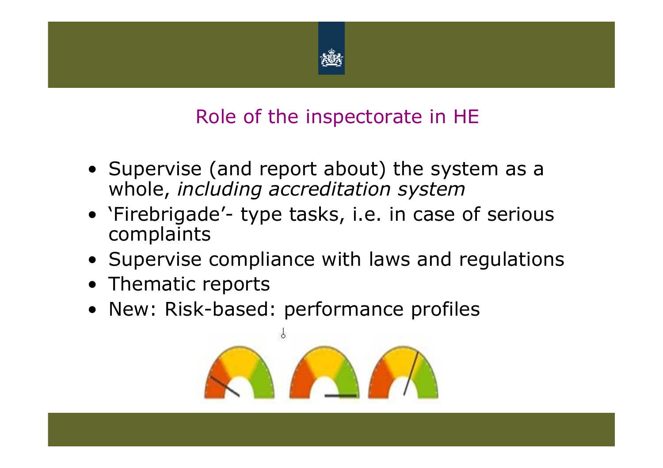

# Role of the inspectorate in HE

- Supervise (and report about) the system as a<br>whole, including accreditation system whole, *including accreditation system*
- 'Firebrigade'- type tasks, i.e. in case of serious complaints
- Supervise compliance with laws and regulations<br>• Thematic reports
- Thematic reports<br>• New: Pick-based
- New: Risk-based: performance profiles

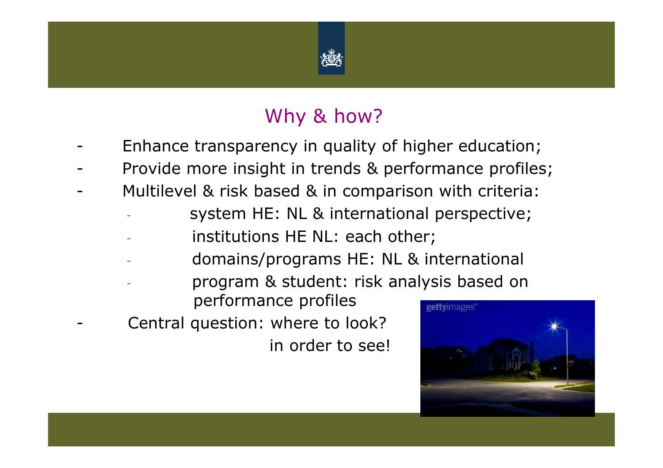

# Why & how?

- -Enhance transparency in quality of higher education;
- -Provide more insight in trends & performance profiles;
- - Multilevel & risk based & in comparison with criteria:
	- system HE: NL & international perspective;
	- institutions HE NL: each other;
	- domains/programs HE: NL & international
	- program & student: risk analysis based on
		- performance profiles
- - Central question: where to look? in order to see!

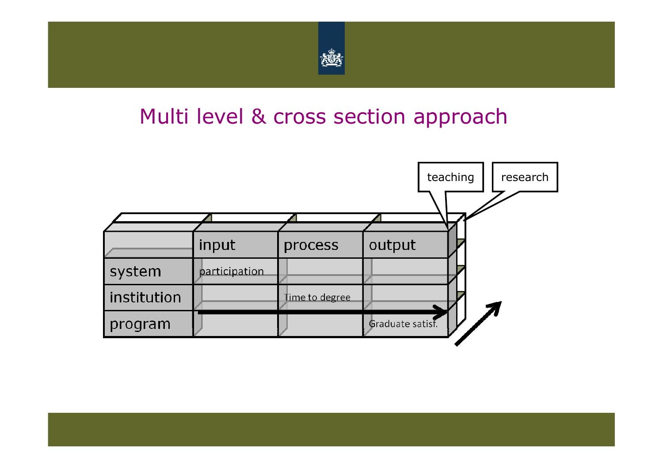

# Multi level & cross section approach

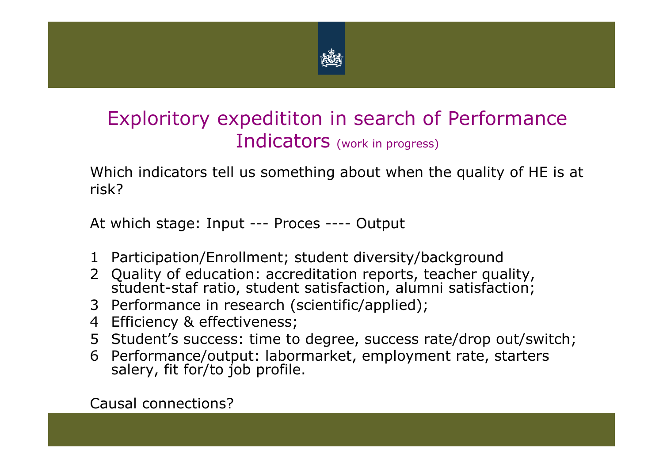

# Exploritory expedititon in search of Performance Indicators (work in progress)

Which indicators tell us something about when the quality of HE is at risk?

At which stage: Input --- Proces ---- Output

- <sup>1</sup> Participation/Enrollment; student diversity/background
- <sup>2</sup> Quality of education: accreditation reports, teacher quality, student-staf ratio, student satisfaction, alumni satisfaction;
- <sup>3</sup> Performance in research (scientific/applied);
- <sup>4</sup> Efficiency & effectiveness;
- <sup>5</sup> Student's success: time to degree, success rate/drop out/switch;
- <sup>6</sup> Performance/output: labormarket, employment rate, starters salery, fit for/to job profile.

Causal connections?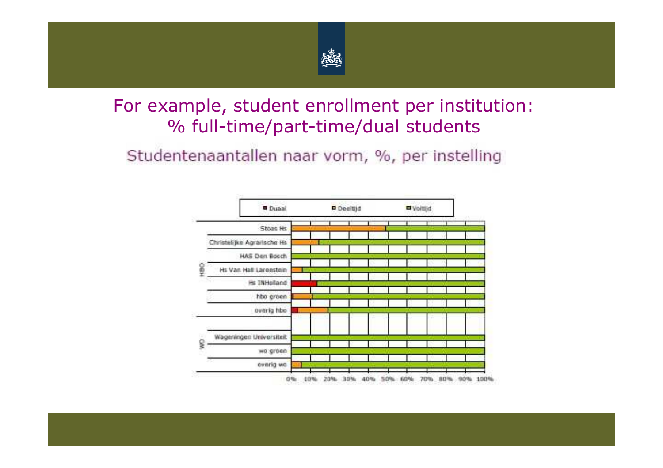

### For example, student enrollment per institution: % full-time/part-time/dual students

Studentenaantallen naar vorm, %, per instelling

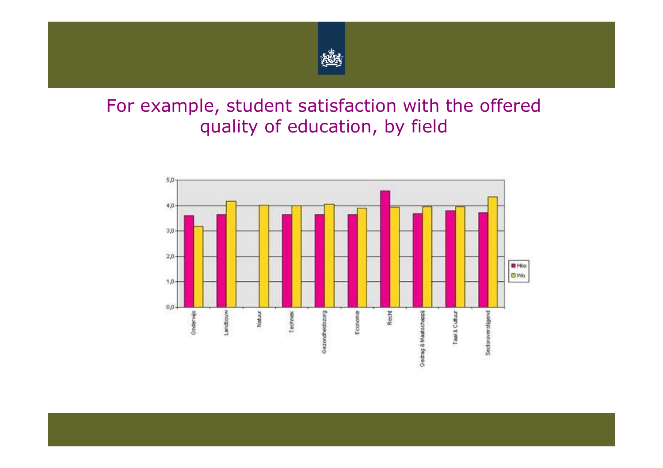

## For example, student satisfaction with the offered quality of education, by field

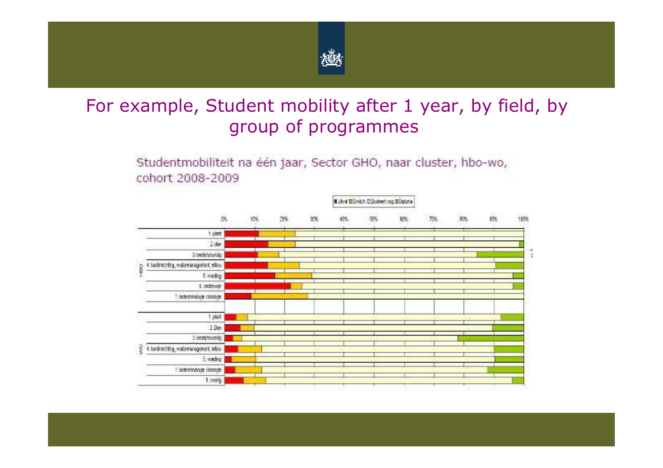

### For example, Student mobility after 1 year, by field, by group of programmes

Studentmobiliteit na één jaar, Sector GHO, naar cluster, hbo-wo, cohort 2008-2009

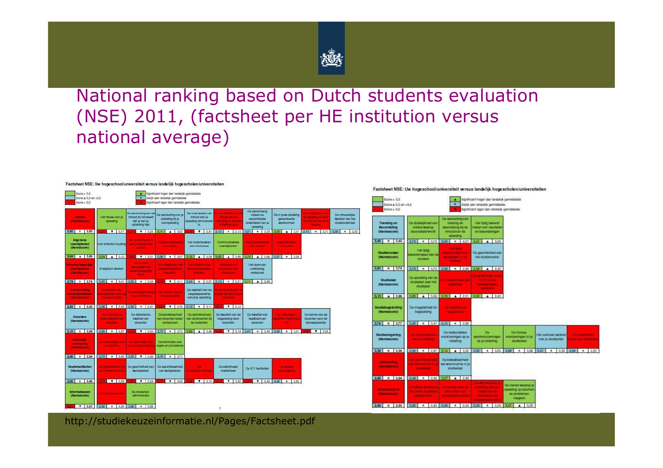

#### National ranking based on Dutch students evaluation(NSE) 2011, (factsheet per HE institution versus national average)

| Soors > 3.5<br>Score ≥ 3.0 an <3.5<br>Socce < 3.0                                     |                                                                                           | ۰                                                                                | Significant hoger dan landeltjk gemiddelde<br>Galijk aan landalijk gemiddelde<br>Significant lager dan landelijk gemiddelde |                                                                                  |                                                                                                  |                                                                              |                                                                    |                                                                                                                    |                                                          |
|---------------------------------------------------------------------------------------|-------------------------------------------------------------------------------------------|----------------------------------------------------------------------------------|-----------------------------------------------------------------------------------------------------------------------------|----------------------------------------------------------------------------------|--------------------------------------------------------------------------------------------------|------------------------------------------------------------------------------|--------------------------------------------------------------------|--------------------------------------------------------------------------------------------------------------------|----------------------------------------------------------|
| <b>INDOUC</b><br><b>Harrywood</b>                                                     | High Hiwaalu Vierrija<br>opialding                                                        | Da agristutino visnida<br>inhoud bij het beeld<br>dat ju van ja<br>apiaiding had | De aanstufingvan ja<br>opisiding bit je<br>vooraplaiding                                                                    | Do mate waarin do<br>inhoud van ja<br>bhaile struckerd<br>15 <sup>°</sup>        | <b>Contractor</b><br><b>MELLER WATER</b><br><b>DANCERS DE MESINA</b><br><b>THE REAL PROPERTY</b> | De samenhang<br>tuesen de<br>vorschillende<br>ondondalen van ja<br>oplaiding | Do in jouw optacting<br>garamoorda<br><b>warkvarmen</b>            | <b>The annual Line Company</b><br><b><i><u>USED BASES IN LINES</u></i></b><br><b>CONTRACTOR</b><br><b>DOCUMENT</b> | De inhouderske<br>lowalitialt you hat<br>studiomatorisal |
| $2.82$ $+ 2.83$                                                                       | $\mathbf{V}$   3.77                                                                       |                                                                                  | 7 3.23 3.44 1.132                                                                                                           | $\mathbf{r}$<br>3.41                                                             | $2.10$ $+$ $2.13$ 3.01                                                                           | $-13.03$                                                                     | $A = 3.01$<br><b>LOB</b>                                           | $+ 273$<br>2.73                                                                                                    | 3.38<br>3.30<br>٠                                        |
| Algorithme<br>vaardigheden<br>(the mascore)                                           | Ean kritische houding                                                                     | <b>AUTOMOTIVE PROPERTY</b><br><b>ALCOHOL: NO</b>                                 | <b>CONTRACTOR</b><br><b>WARRANTEE</b>                                                                                       | Hat onderticument<br>van conclusios                                              | Currentumstations<br>vaardigheden                                                                | <b><i>PARTICIPATE</i></b><br>mar and and                                     | <b>School Service</b><br><b>CONTRACTOR</b>                         |                                                                                                                    |                                                          |
| A 3.85<br>151                                                                         | 3.24%<br>4 3.12.                                                                          |                                                                                  | $\mathbf{v}$   3.01   2.56   $\mathbf{v}$   2.97   3.16                                                                     | $-3.08$<br>$\bullet$                                                             |                                                                                                  | 3.95 4 3.85 2.73 4 2.66 2.01 # 2.04                                          |                                                                    |                                                                                                                    |                                                          |
| <b><i><u>National Trace (III)</u></i></b><br><b>TRAFFICION PROT</b><br><b>Highway</b> | Arialytisch danken                                                                        | <b><i><u>ALCOHOL: </u></i></b><br><b>Designation Car</b><br><b>MONTAGERS</b>     | <b>AND CONSTRUCTION NOW</b><br><b>MATERIAL PRODUCTS</b><br><b>Harvard</b>                                                   | <b>HAR ARTISTIC AND</b><br><b>MONTECHNOLOGY</b><br><b>STRANGE</b>                | <b><i>Address Lat.</i></b><br><b>MICHAELMAN</b><br><b>STATISTICS</b>                             | Hut doors van<br>zullstandig<br>chdatzoak                                    |                                                                    |                                                                                                                    |                                                          |
| $278 + 276$                                                                           |                                                                                           | $3.40$ $\bullet$ $3.41$ $2.35$ $\bullet$ $2.34$                                  |                                                                                                                             | $\mathbf{v} = 3.11$ $2.24$ $\mathbf{t} = 2.27$ $2.19$ $\mathbf{t} = 2.21$ $3.11$ |                                                                                                  | 4.2.89                                                                       |                                                                    |                                                                                                                    |                                                          |
| <b>Vourtuiniding</b><br><b>INCORPORATIONS IN AN ALLE</b><br><b>Impressions:</b>       | <b>CAR CONTINUES AND</b><br><b>CAN DEPARTMENT OF REAL PROPERTY</b><br><b>Someon comme</b> | <b>Warner Thomas Co.</b><br><b>CONTRACTOR</b>                                    | <b>No. 100 Million Print</b><br><b>CARD AND RESIDENT</b>                                                                    | De kwaitlet van de<br>stagobogolaiding<br>vanuit le opisiding                    | <b>Committee Rate</b><br><b>SECOND TRIP PROFITS</b><br><b>SECURE AT A</b>                        |                                                                              |                                                                    |                                                                                                                    |                                                          |
| $255$ # 2.55                                                                          | 2.56 . 2.55 2.99                                                                          | $= 2.41$                                                                         | <b>V</b> 2.76 1.12                                                                                                          | $+ 3.11$                                                                         | <b>T</b> 2.12                                                                                    |                                                                              |                                                                    |                                                                                                                    |                                                          |
| Docenten<br>(themascore)                                                              | <b>SCIENCES</b><br><b>SAN REPORT OF STATE</b><br><b>Service</b> State                     | De didactinche<br><b>kwaittat van</b><br>documture                               | <b>Ele berektaamed</b><br>van documkin bullen<br>contacturan                                                                | De bettokkermeid<br>van da dooantan bij<br>do studenten                          | Do kwaitlait van de<br>bagalaiding door<br>docuntum                                              | Do kwalitoit van<br>foodback van<br>docuntan                                 | <b>CONTRACTOR</b><br><b>CALCULATION IN THE REAL AND REAL</b><br>., | De kenne van de<br>docentain over de<br>boroupspraktik                                                             |                                                          |
| $= 3.09$<br>110                                                                       | 2.95 . 2.97                                                                               | $7 - 3.35$                                                                       | 3.79<br>$-3.75$                                                                                                             | 3.46<br>3.85                                                                     | 3.14<br>$\overline{\mathbf{r}}$                                                                  | 3.45<br>٠                                                                    | $\overline{a}$<br>3.01                                             | $\mathbf{v}$<br>3.08                                                                                               |                                                          |
| <b>Reference</b><br><b><i>DISTURBANCES</i></b><br><b>UNITED STATES</b>                | <b>Accountance and</b><br><b>WASHINGTON</b>                                               | <b>CALIFORNIA MAR</b><br><b>OVER A LIGHT CONTINUES</b>                           | De edurmatia ovor<br>raggis en propoduras                                                                                   |                                                                                  |                                                                                                  |                                                                              |                                                                    |                                                                                                                    |                                                          |
| $285$ $+$ 2.84                                                                        |                                                                                           | $2.79$ + 2.80 2.90 $\mathbf{v}$ 2.56 2.76                                        | $+ 3,77$                                                                                                                    |                                                                                  |                                                                                                  |                                                                              |                                                                    |                                                                                                                    |                                                          |
| <b>Studietacillieiren</b><br>(themascore)                                             | <b>ALCOHOL: UNIT WATER</b><br><b>Contact Linkman</b>                                      | De geschikthed van<br><b>warkplakkan</b>                                         | De beschikbaarhold<br>van workplakkan                                                                                       | -<br><b>ARRESTS MADE IN AN ARR</b>                                               | Do bibliothack!<br>modulinook                                                                    | Du ACT-factifialism                                                          | <b>Contractor</b><br><b><i><u>INFORMATION</u></i></b>              |                                                                                                                    |                                                          |
| 3.05<br>$\bullet$<br>3.06<br><b>Informatio punt</b><br>(the mascore)                  | <b>T</b> 289<br><b>CONTRACTOR</b>                                                         | $7 - 3.24$<br>Da studentan-<br>actministratio                                    | 7 3.38                                                                                                                      | 7.3.10                                                                           | 3.30                                                                                             | $\mathbf{v}$<br>3.40                                                         | $2.40$ $+$ $2.50$                                                  |                                                                                                                    |                                                          |
| 3.51<br>$\mathbf{v}$                                                                  | 2.22<br>$-2.83$ 3.68                                                                      | 3.66<br>٠                                                                        |                                                                                                                             |                                                                                  | ٠                                                                                                |                                                                              |                                                                    |                                                                                                                    |                                                          |

#### Factsheet NSE: Uw hoge school/universiteit versus landelijk hoge scholen/universiteiten



http://studiekeuzeinformatie.nl/Pages/Factsheet.pdf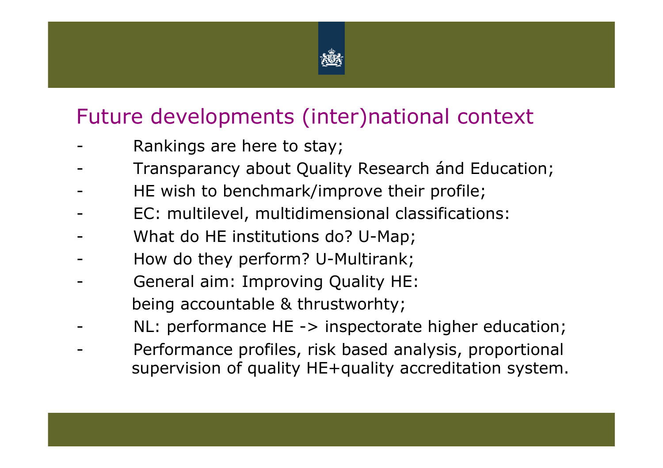

# Future developments (inter)national context

- -Rankings are here to stay;
- -Transparancy about Quality Research ánd Education;
- -HE wish to benchmark/improve their profile;
- -EC: multilevel, multidimensional classifications:
- -What do HE institutions do? U-Map;
- -How do they perform? U-Multirank;
- - General aim: Improving Quality HE: being accountable & thrustworhty;
- -NL: performance HE -> inspectorate higher education;
- - Performance profiles, risk based analysis, proportional supervision of quality HE+quality accreditation system.